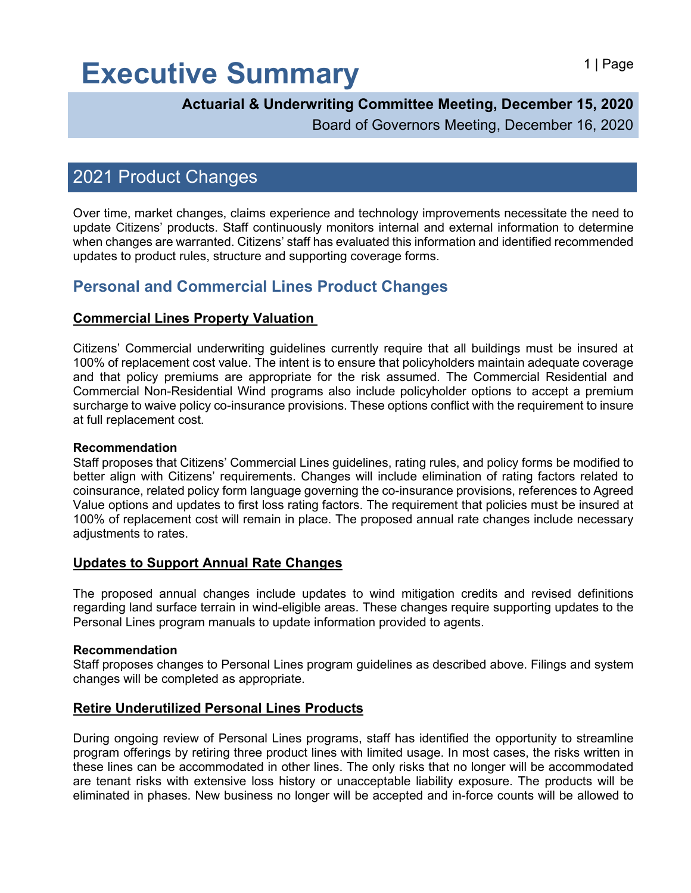# Executive Summary **Executive Summary**

### **Actuarial & Underwriting Committee Meeting, December 15, 2020**

Board of Governors Meeting, December 16, 2020

# 2021 Product Changes

Over time, market changes, claims experience and technology improvements necessitate the need to update Citizens' products. Staff continuously monitors internal and external information to determine when changes are warranted. Citizens' staff has evaluated this information and identified recommended updates to product rules, structure and supporting coverage forms.

## **Personal and Commercial Lines Product Changes**

#### **Commercial Lines Property Valuation**

Citizens' Commercial underwriting guidelines currently require that all buildings must be insured at 100% of replacement cost value. The intent is to ensure that policyholders maintain adequate coverage and that policy premiums are appropriate for the risk assumed. The Commercial Residential and Commercial Non-Residential Wind programs also include policyholder options to accept a premium surcharge to waive policy co-insurance provisions. These options conflict with the requirement to insure at full replacement cost.

#### **Recommendation**

Staff proposes that Citizens' Commercial Lines guidelines, rating rules, and policy forms be modified to better align with Citizens' requirements. Changes will include elimination of rating factors related to coinsurance, related policy form language governing the co-insurance provisions, references to Agreed Value options and updates to first loss rating factors. The requirement that policies must be insured at 100% of replacement cost will remain in place. The proposed annual rate changes include necessary adjustments to rates.

#### **Updates to Support Annual Rate Changes**

The proposed annual changes include updates to wind mitigation credits and revised definitions regarding land surface terrain in wind-eligible areas. These changes require supporting updates to the Personal Lines program manuals to update information provided to agents.

#### **Recommendation**

Staff proposes changes to Personal Lines program guidelines as described above. Filings and system changes will be completed as appropriate.

#### **Retire Underutilized Personal Lines Products**

During ongoing review of Personal Lines programs, staff has identified the opportunity to streamline program offerings by retiring three product lines with limited usage. In most cases, the risks written in these lines can be accommodated in other lines. The only risks that no longer will be accommodated are tenant risks with extensive loss history or unacceptable liability exposure. The products will be eliminated in phases. New business no longer will be accepted and in-force counts will be allowed to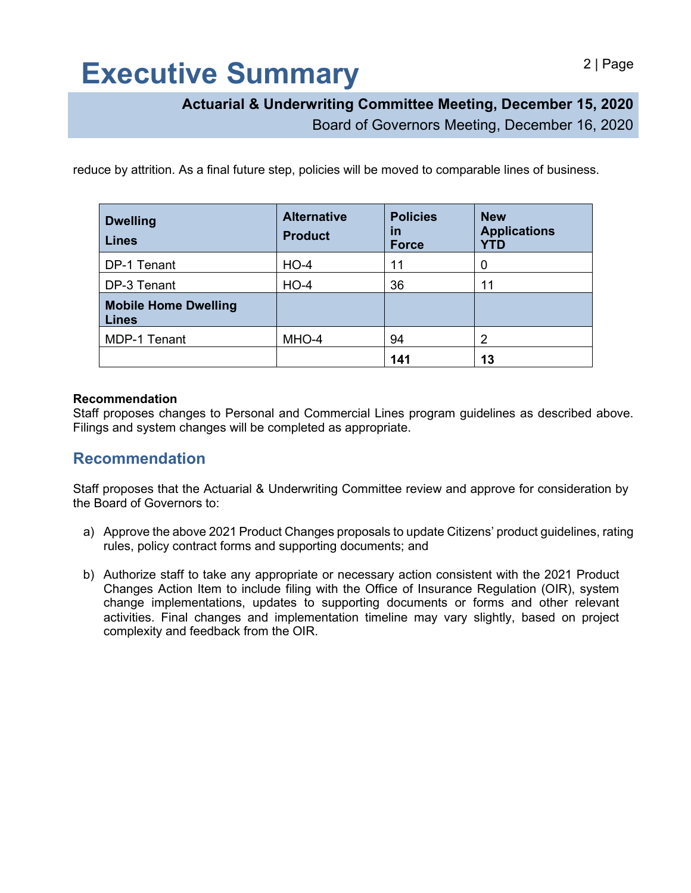# Executive Summary and all Page

## **Actuarial & Underwriting Committee Meeting, December 15, 2020**

Board of Governors Meeting, December 16, 2020

reduce by attrition. As a final future step, policies will be moved to comparable lines of business.

| <b>Dwelling</b><br><b>Lines</b>             | <b>Alternative</b><br><b>Product</b> | <b>Policies</b><br>in<br><b>Force</b> | <b>New</b><br><b>Applications</b><br><b>YTD</b> |
|---------------------------------------------|--------------------------------------|---------------------------------------|-------------------------------------------------|
| DP-1 Tenant                                 | $HO-4$                               | 11                                    | 0                                               |
| DP-3 Tenant                                 | $HO-4$                               | 36                                    | 11                                              |
| <b>Mobile Home Dwelling</b><br><b>Lines</b> |                                      |                                       |                                                 |
| <b>MDP-1 Tenant</b>                         | MHO-4                                | 94                                    | 2                                               |
|                                             |                                      | 141                                   | 13                                              |

#### **Recommendation**

Staff proposes changes to Personal and Commercial Lines program guidelines as described above. Filings and system changes will be completed as appropriate.

### **Recommendation**

Staff proposes that the Actuarial & Underwriting Committee review and approve for consideration by the Board of Governors to:

- a) Approve the above 2021 Product Changes proposals to update Citizens' product guidelines, rating rules, policy contract forms and supporting documents; and
- b) Authorize staff to take any appropriate or necessary action consistent with the 2021 Product Changes Action Item to include filing with the Office of Insurance Regulation (OIR), system change implementations, updates to supporting documents or forms and other relevant activities. Final changes and implementation timeline may vary slightly, based on project complexity and feedback from the OIR.